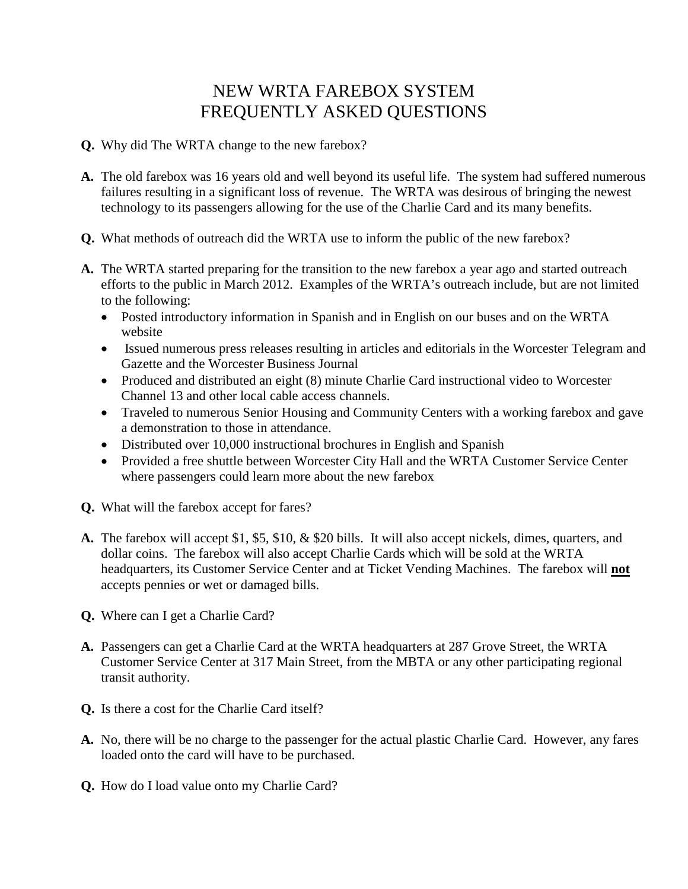## NEW WRTA FAREBOX SYSTEM FREQUENTLY ASKED QUESTIONS

- **Q.** Why did The WRTA change to the new farebox?
- **A.** The old farebox was 16 years old and well beyond its useful life. The system had suffered numerous failures resulting in a significant loss of revenue. The WRTA was desirous of bringing the newest technology to its passengers allowing for the use of the Charlie Card and its many benefits.
- **Q.** What methods of outreach did the WRTA use to inform the public of the new farebox?
- **A.** The WRTA started preparing for the transition to the new farebox a year ago and started outreach efforts to the public in March 2012. Examples of the WRTA's outreach include, but are not limited to the following:
	- Posted introductory information in Spanish and in English on our buses and on the WRTA website
	- Issued numerous press releases resulting in articles and editorials in the Worcester Telegram and Gazette and the Worcester Business Journal
	- Produced and distributed an eight (8) minute Charlie Card instructional video to Worcester Channel 13 and other local cable access channels.
	- Traveled to numerous Senior Housing and Community Centers with a working farebox and gave a demonstration to those in attendance.
	- Distributed over 10,000 instructional brochures in English and Spanish
	- Provided a free shuttle between Worcester City Hall and the WRTA Customer Service Center where passengers could learn more about the new farebox
- **Q.** What will the farebox accept for fares?
- **A.** The farebox will accept \$1, \$5, \$10, & \$20 bills. It will also accept nickels, dimes, quarters, and dollar coins. The farebox will also accept Charlie Cards which will be sold at the WRTA headquarters, its Customer Service Center and at Ticket Vending Machines. The farebox will **not**  accepts pennies or wet or damaged bills.
- **Q.** Where can I get a Charlie Card?
- **A.** Passengers can get a Charlie Card at the WRTA headquarters at 287 Grove Street, the WRTA Customer Service Center at 317 Main Street, from the MBTA or any other participating regional transit authority.
- **Q.** Is there a cost for the Charlie Card itself?
- **A.** No, there will be no charge to the passenger for the actual plastic Charlie Card. However, any fares loaded onto the card will have to be purchased.
- **Q.** How do I load value onto my Charlie Card?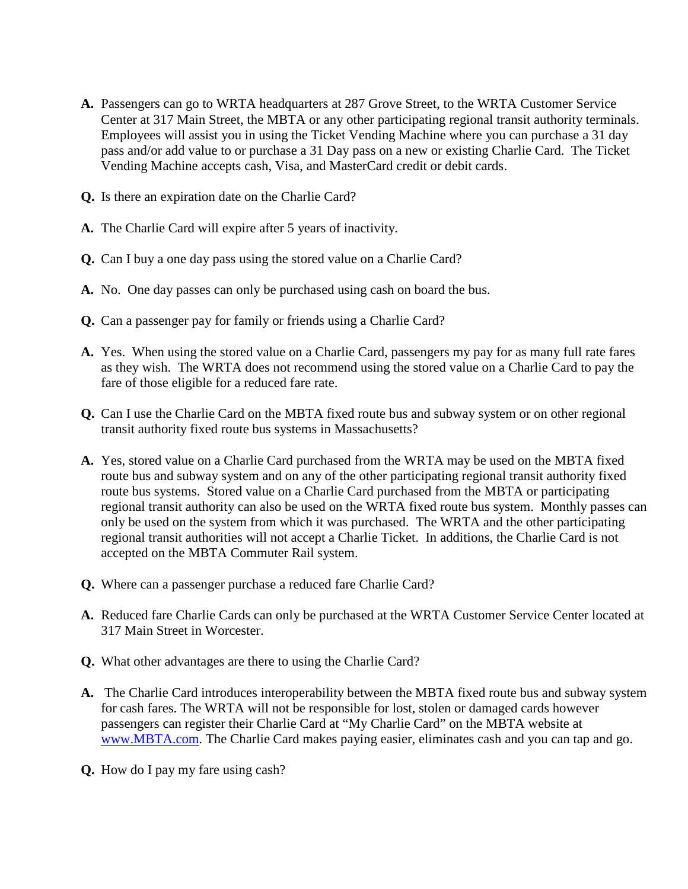- **A.** Passengers can go to WRTA headquarters at 287 Grove Street, to the WRTA Customer Service Center at 317 Main Street, the MBTA or any other participating regional transit authority terminals. Employees will assist you in using the Ticket Vending Machine where you can purchase a 31 day pass and/or add value to or purchase a 31 Day pass on a new or existing Charlie Card. The Ticket Vending Machine accepts cash, Visa, and MasterCard credit or debit cards.
- **Q.** Is there an expiration date on the Charlie Card?
- **A.** The Charlie Card will expire after 5 years of inactivity.
- **Q.** Can I buy a one day pass using the stored value on a Charlie Card?
- **A.** No. One day passes can only be purchased using cash on board the bus.
- **Q.** Can a passenger pay for family or friends using a Charlie Card?
- **A.** Yes. When using the stored value on a Charlie Card, passengers my pay for as many full rate fares as they wish. The WRTA does not recommend using the stored value on a Charlie Card to pay the fare of those eligible for a reduced fare rate.
- **Q.** Can I use the Charlie Card on the MBTA fixed route bus and subway system or on other regional transit authority fixed route bus systems in Massachusetts?
- **A.** Yes, stored value on a Charlie Card purchased from the WRTA may be used on the MBTA fixed route bus and subway system and on any of the other participating regional transit authority fixed route bus systems. Stored value on a Charlie Card purchased from the MBTA or participating regional transit authority can also be used on the WRTA fixed route bus system. Monthly passes can only be used on the system from which it was purchased. The WRTA and the other participating regional transit authorities will not accept a Charlie Ticket. In additions, the Charlie Card is not accepted on the MBTA Commuter Rail system.
- **Q.** Where can a passenger purchase a reduced fare Charlie Card?
- **A.** Reduced fare Charlie Cards can only be purchased at the WRTA Customer Service Center located at 317 Main Street in Worcester.
- **Q.** What other advantages are there to using the Charlie Card?
- **A.** The Charlie Card introduces interoperability between the MBTA fixed route bus and subway system for cash fares. The WRTA will not be responsible for lost, stolen or damaged cards however passengers can register their Charlie Card at "My Charlie Card" on the MBTA website at [www.MBTA.com.](http://www.mbta.com/) The Charlie Card makes paying easier, eliminates cash and you can tap and go.
- **Q.** How do I pay my fare using cash?